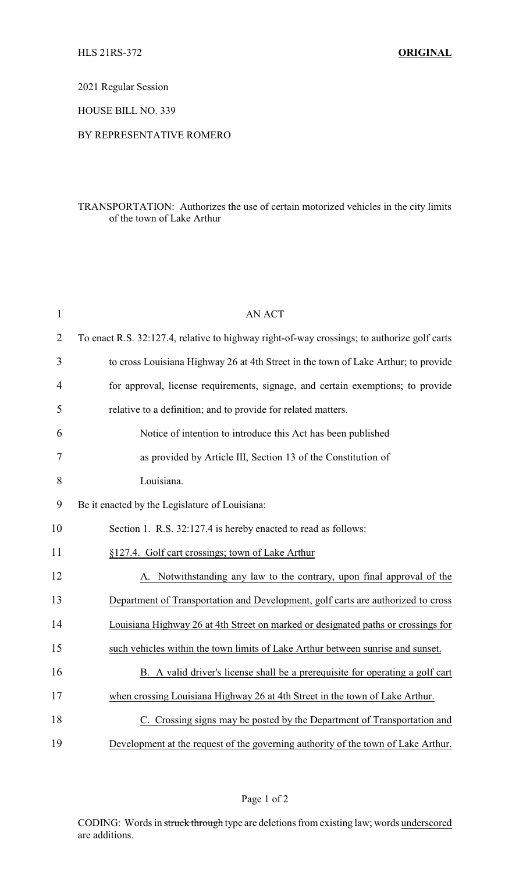2021 Regular Session

HOUSE BILL NO. 339

## BY REPRESENTATIVE ROMERO

## TRANSPORTATION: Authorizes the use of certain motorized vehicles in the city limits of the town of Lake Arthur

| $\mathbf{1}$   | <b>AN ACT</b>                                                                               |  |
|----------------|---------------------------------------------------------------------------------------------|--|
| $\overline{2}$ | To enact R.S. 32:127.4, relative to highway right-of-way crossings; to authorize golf carts |  |
| 3              | to cross Louisiana Highway 26 at 4th Street in the town of Lake Arthur; to provide          |  |
| $\overline{4}$ | for approval, license requirements, signage, and certain exemptions; to provide             |  |
| 5              | relative to a definition; and to provide for related matters.                               |  |
| 6              | Notice of intention to introduce this Act has been published                                |  |
| 7              | as provided by Article III, Section 13 of the Constitution of                               |  |
| 8              | Louisiana.                                                                                  |  |
| 9              | Be it enacted by the Legislature of Louisiana:                                              |  |
| 10             | Section 1. R.S. 32:127.4 is hereby enacted to read as follows:                              |  |
| 11             | §127.4. Golf cart crossings; town of Lake Arthur                                            |  |
| 12             | Notwithstanding any law to the contrary, upon final approval of the                         |  |
| 13             | Department of Transportation and Development, golf carts are authorized to cross            |  |
| 14             | Louisiana Highway 26 at 4th Street on marked or designated paths or crossings for           |  |
| 15             | such vehicles within the town limits of Lake Arthur between sunrise and sunset.             |  |
| 16             | B. A valid driver's license shall be a prerequisite for operating a golf cart               |  |
| 17             | when crossing Louisiana Highway 26 at 4th Street in the town of Lake Arthur.                |  |
| 18             | C. Crossing signs may be posted by the Department of Transportation and                     |  |
| 19             | Development at the request of the governing authority of the town of Lake Arthur.           |  |

Page 1 of 2